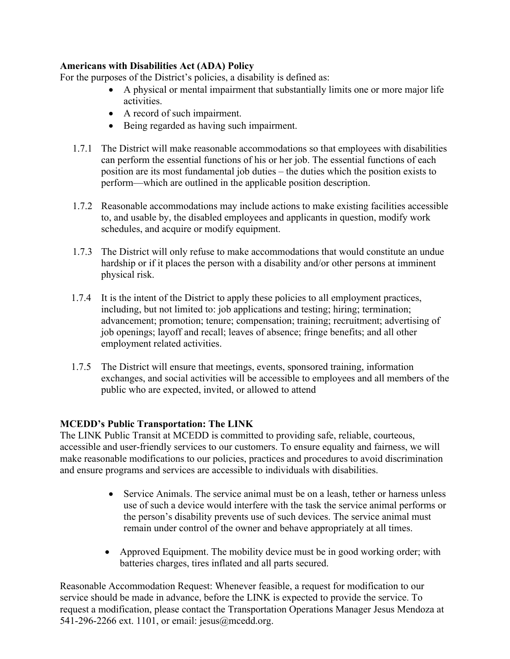## **Americans with Disabilities Act (ADA) Policy**

For the purposes of the District's policies, a disability is defined as:

- A physical or mental impairment that substantially limits one or more major life activities.
- A record of such impairment.
- Being regarded as having such impairment.
- 1.7.1 The District will make reasonable accommodations so that employees with disabilities can perform the essential functions of his or her job. The essential functions of each position are its most fundamental job duties – the duties which the position exists to perform—which are outlined in the applicable position description.
- 1.7.2 Reasonable accommodations may include actions to make existing facilities accessible to, and usable by, the disabled employees and applicants in question, modify work schedules, and acquire or modify equipment.
- 1.7.3 The District will only refuse to make accommodations that would constitute an undue hardship or if it places the person with a disability and/or other persons at imminent physical risk.
- 1.7.4 It is the intent of the District to apply these policies to all employment practices, including, but not limited to: job applications and testing; hiring; termination; advancement; promotion; tenure; compensation; training; recruitment; advertising of job openings; layoff and recall; leaves of absence; fringe benefits; and all other employment related activities.
- 1.7.5 The District will ensure that meetings, events, sponsored training, information exchanges, and social activities will be accessible to employees and all members of the public who are expected, invited, or allowed to attend

## **MCEDD's Public Transportation: The LINK**

The LINK Public Transit at MCEDD is committed to providing safe, reliable, courteous, accessible and user-friendly services to our customers. To ensure equality and fairness, we will make reasonable modifications to our policies, practices and procedures to avoid discrimination and ensure programs and services are accessible to individuals with disabilities.

- Service Animals. The service animal must be on a leash, tether or harness unless use of such a device would interfere with the task the service animal performs or the person's disability prevents use of such devices. The service animal must remain under control of the owner and behave appropriately at all times.
- Approved Equipment. The mobility device must be in good working order; with batteries charges, tires inflated and all parts secured.

Reasonable Accommodation Request: Whenever feasible, a request for modification to our service should be made in advance, before the LINK is expected to provide the service. To request a modification, please contact the Transportation Operations Manager Jesus Mendoza at 541-296-2266 ext. 1101, or email: jesus@mcedd.org.